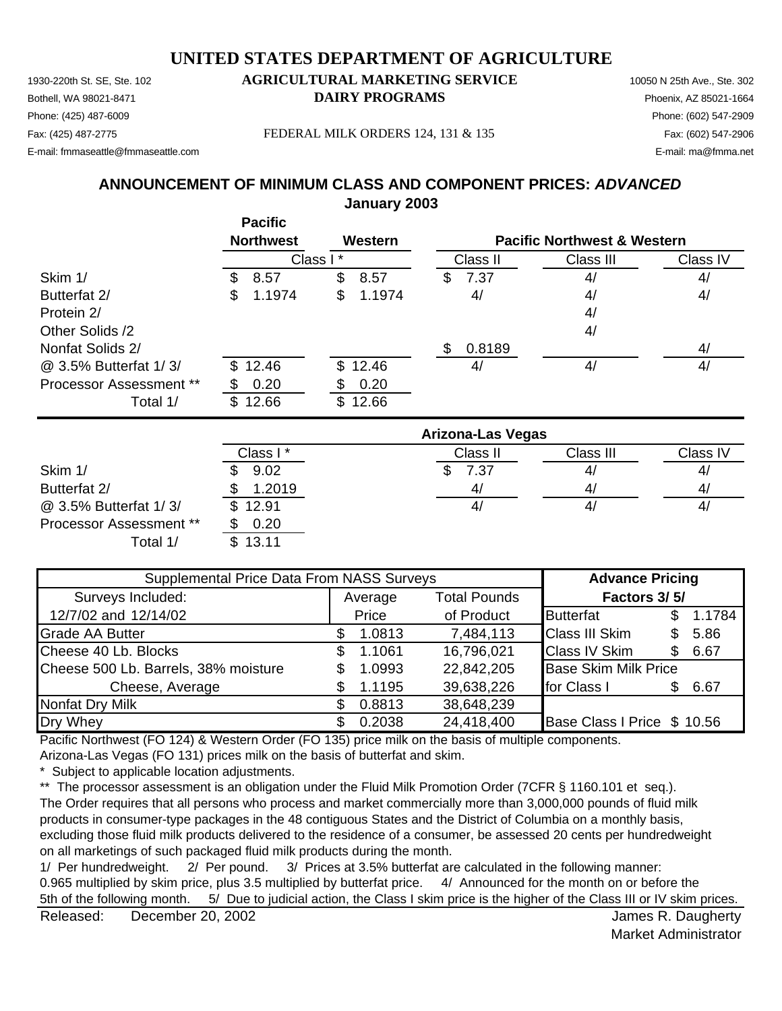#### 1930-220th St. SE, Ste. 102 **AGRICULTURAL MARKETING SERVICE** 10050 N 25th Ave., Ste. 302 Bothell, WA 98021-8471 **DAIRY PROGRAMS** Phoenix, AZ 85021-1664 **UNITED STATES DEPARTMENT OF AGRICULTURE**

Phone: (425) 487-6009 Phone: (602) 547-2909 E-mail: fmmaseattle@fmmaseattle.com E-mail: ma@fmma.net

Fax: (425) 487-2775 FEDERAL MILK ORDERS 124, 131 & 135 Fax: (602) 547-2906

### **January 2003 ANNOUNCEMENT OF MINIMUM CLASS AND COMPONENT PRICES:** *ADVANCED*

|                         | <b>Pacific</b>   |              |                          |                                        |          |
|-------------------------|------------------|--------------|--------------------------|----------------------------------------|----------|
|                         | <b>Northwest</b> | Western      |                          | <b>Pacific Northwest &amp; Western</b> |          |
|                         |                  | Class I*     | Class II                 | Class III                              | Class IV |
| Skim 1/                 | 8.57<br>\$       | \$<br>8.57   | \$<br>7.37               | 4/                                     | 4/       |
| Butterfat 2/            | 1.1974<br>\$     | 1.1974<br>\$ | 4/                       | 4/                                     | 4/       |
| Protein 2/              |                  |              |                          | 4/                                     |          |
| Other Solids /2         |                  |              |                          | 4/                                     |          |
| Nonfat Solids 2/        |                  |              | 0.8189<br>\$             |                                        | 4/       |
| @ 3.5% Butterfat 1/3/   | \$12.46          | \$12.46      | 4/                       | 4/                                     | 4/       |
| Processor Assessment ** | 0.20             | 0.20<br>SБ   |                          |                                        |          |
| Total 1/                | \$12.66          | \$12.66      |                          |                                        |          |
|                         |                  |              | <b>Arizona-Las Vegas</b> |                                        |          |
|                         | Class I*         |              | Class II                 | Class III                              | Class IV |
| Skim 1/                 | 9.02             |              | 7.37<br>\$               | 4/                                     | 4/       |
| Butterfat 2/            | 1.2019           |              | 4/                       | 4/                                     | 4/       |
| @ 3.5% Butterfat 1/3/   | \$<br>12.91      |              | 4/                       | 4/                                     | 4/       |

Processor Assessment \*\*

| \$13.11<br>Total 1/                       |               |                     |                             |               |
|-------------------------------------------|---------------|---------------------|-----------------------------|---------------|
| Supplemental Price Data From NASS Surveys |               |                     | <b>Advance Pricing</b>      |               |
| Surveys Included:                         | Average       | <b>Total Pounds</b> | Factors 3/5/                |               |
| 12/7/02 and 12/14/02                      | Price         | of Product          | <b>Butterfat</b>            | 1.1784<br>\$. |
| Grade AA Butter                           | 1.0813<br>\$  | 7,484,113           | <b>Class III Skim</b>       | 5.86<br>SS.   |
| Cheese 40 Lb. Blocks                      | 1.1061<br>\$  | 16,796,021          | <b>Class IV Skim</b>        | \$6.67        |
| Cheese 500 Lb. Barrels, 38% moisture      | 1.0993<br>\$  | 22,842,205          | <b>Base Skim Milk Price</b> |               |
| Cheese, Average                           | \$.<br>1.1195 | 39,638,226          | for Class I                 | \$6.67        |
| Nonfat Dry Milk                           | 0.8813<br>S.  | 38,648,239          |                             |               |
| Dry Whey                                  | 0.2038<br>\$  | 24,418,400          | Base Class I Price \$ 10.56 |               |

Pacific Northwest (FO 124) & Western Order (FO 135) price milk on the basis of multiple components.

Arizona-Las Vegas (FO 131) prices milk on the basis of butterfat and skim.

\* Subject to applicable location adjustments.

\*\* The processor assessment is an obligation under the Fluid Milk Promotion Order (7CFR § 1160.101 et seq.).

The Order requires that all persons who process and market commercially more than 3,000,000 pounds of fluid milk products in consumer-type packages in the 48 contiguous States and the District of Columbia on a monthly basis, excluding those fluid milk products delivered to the residence of a consumer, be assessed 20 cents per hundredweight on all marketings of such packaged fluid milk products during the month.

1/ Per hundredweight. 2/ Per pound. 3/ Prices at 3.5% butterfat are calculated in the following manner: 0.965 multiplied by skim price, plus 3.5 multiplied by butterfat price. 4/ Announced for the month on or before the 5th of the following month. 5/ Due to judicial action, the Class I skim price is the higher of the Class III or IV skim prices.

Released: December 20, 2002 **Contract Contract Contract Contract Contract Contract Contract Contract Contract Contract Contract Contract Contract Contract Contract Contract Contract Contract Contract Contract Contract Cont** December 20, 2002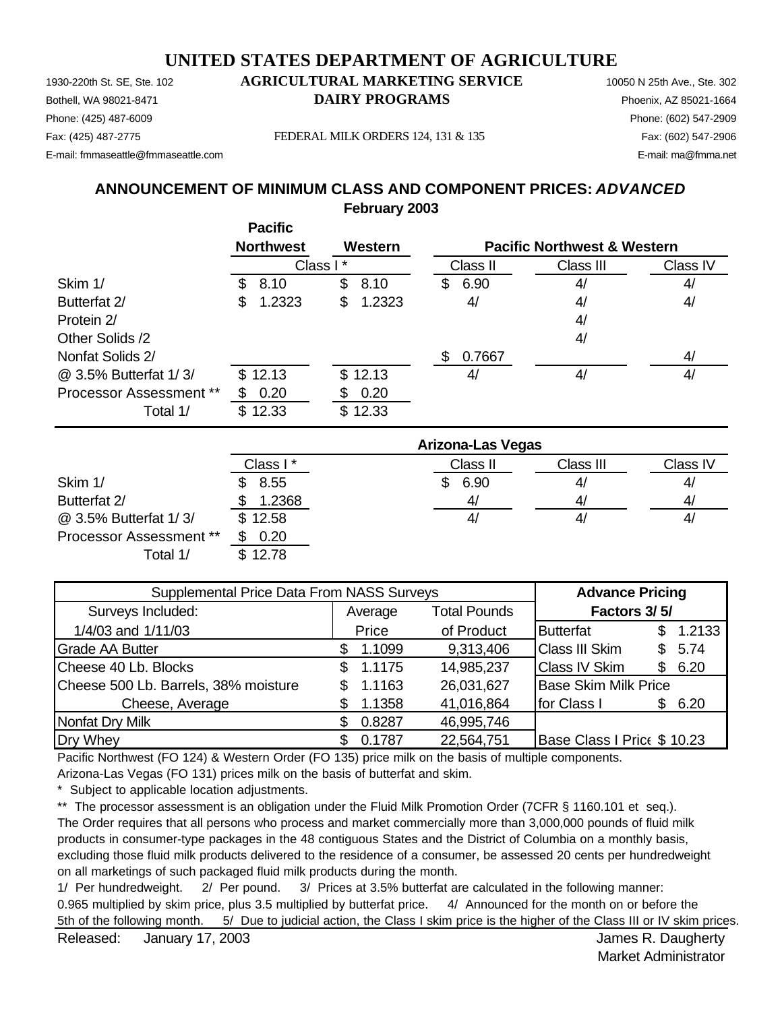1930-220th St. SE, Ste. 102 **AGRICULTURAL MARKETING SERVICE** 10050 N 25th Ave., Ste. 302 Bothell, WA 98021-8471 **DAIRY PROGRAMS** Phoenix, AZ 85021-1664 Phone: (425) 487-6009 Phone: (602) 547-2909 E-mail: fmmaseattle@fmmaseattle.com E-mail: ma@fmma.net

Fax: (425) 487-2775 FEDERAL MILK ORDERS 124, 131 & 135 Fax: (602) 547-2906

#### **Pacific ANNOUNCEMENT OF MINIMUM CLASS AND COMPONENT PRICES:** *ADVANCED* **February 2003**

|                                |     | .                |          |         |     |          |                                        |          |
|--------------------------------|-----|------------------|----------|---------|-----|----------|----------------------------------------|----------|
|                                |     | <b>Northwest</b> |          | Western |     |          | <b>Pacific Northwest &amp; Western</b> |          |
|                                |     |                  | Class I* |         |     | Class II | Class III                              | Class IV |
| Skim 1/                        | SS. | 8.10             | \$       | 8.10    | \$  | 6.90     | 4/                                     | 4/       |
| Butterfat 2/                   | S   | 1.2323           | \$       | 1.2323  |     | 4/       | 4/                                     | 4/       |
| Protein 2/                     |     |                  |          |         |     |          | 4/                                     |          |
| Other Solids /2                |     |                  |          |         |     |          | 4/                                     |          |
| Nonfat Solids 2/               |     |                  |          |         | \$. | 0.7667   |                                        | 4/       |
| @ 3.5% Butterfat 1/3/          |     | \$12.13          |          | \$12.13 |     | 4/       | 4/                                     | 4/       |
| <b>Processor Assessment **</b> |     | 0.20             |          | 0.20    |     |          |                                        |          |
| Total 1/                       |     | \$12.33          |          | \$12.33 |     |          |                                        |          |

|                                | <b>Arizona-Las Vegas</b> |           |           |          |  |  |
|--------------------------------|--------------------------|-----------|-----------|----------|--|--|
|                                | Class I *                | Class II  | Class III | Class IV |  |  |
| Skim 1/                        | 8.55                     | 6.90<br>S | 4,        | 4,       |  |  |
| Butterfat 2/                   | 1.2368                   | 4/        | 4/        | 4,       |  |  |
| @ 3.5% Butterfat 1/3/          | \$12.58                  | 4,        | 4,        | 4,       |  |  |
| <b>Processor Assessment **</b> | 0.20                     |           |           |          |  |  |
| Total 1/                       | \$12.78                  |           |           |          |  |  |

| Supplemental Price Data From NASS Surveys | <b>Advance Pricing</b> |                     |                                     |  |
|-------------------------------------------|------------------------|---------------------|-------------------------------------|--|
| Surveys Included:                         | Average                | <b>Total Pounds</b> | Factors 3/5/                        |  |
| 1/4/03 and 1/11/03                        | Price                  | of Product          | <b>Butterfat</b><br>1.2133<br>\$.   |  |
| <b>Grade AA Butter</b>                    | 1.1099<br>S.           | 9,313,406           | <b>Class III Skim</b><br>5.74<br>\$ |  |
| Cheese 40 Lb. Blocks                      | 1.1175                 | 14,985,237          | <b>Class IV Skim</b><br>6.20<br>\$. |  |
| Cheese 500 Lb. Barrels, 38% moisture      | 1.1163                 | 26,031,627          | <b>Base Skim Milk Price</b>         |  |
| Cheese, Average                           | 1.1358                 | 41,016,864          | for Class I<br>6.20<br>S            |  |
| Nonfat Dry Milk                           | 0.8287                 | 46,995,746          |                                     |  |
| Dry Whey                                  | 0.1787                 | 22,564,751          | Base Class I Price \$ 10.23         |  |

Pacific Northwest (FO 124) & Western Order (FO 135) price milk on the basis of multiple components.

Arizona-Las Vegas (FO 131) prices milk on the basis of butterfat and skim.

\* Subject to applicable location adjustments.

\*\* The processor assessment is an obligation under the Fluid Milk Promotion Order (7CFR § 1160.101 et seq.). The Order requires that all persons who process and market commercially more than 3,000,000 pounds of fluid milk products in consumer-type packages in the 48 contiguous States and the District of Columbia on a monthly basis, excluding those fluid milk products delivered to the residence of a consumer, be assessed 20 cents per hundredweight on all marketings of such packaged fluid milk products during the month.

1/ Per hundredweight. 2/ Per pound. 3/ Prices at 3.5% butterfat are calculated in the following manner: 0.965 multiplied by skim price, plus 3.5 multiplied by butterfat price. 4/ Announced for the month on or before the 5th of the following month. 5/ Due to judicial action, the Class I skim price is the higher of the Class III or IV skim prices.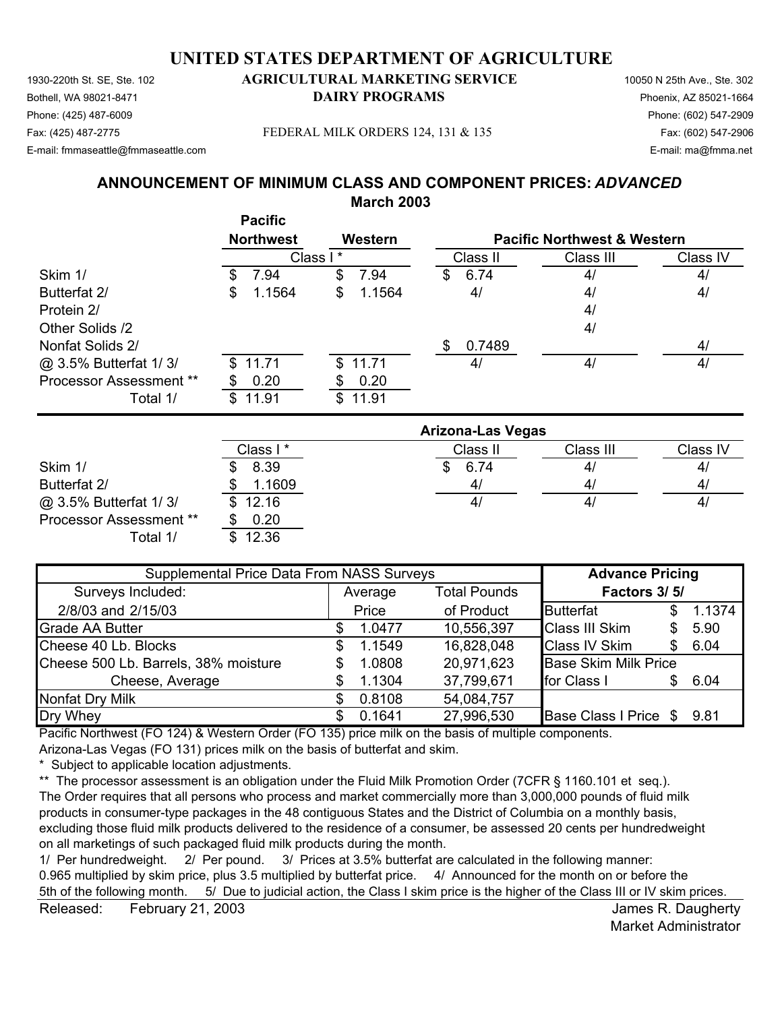1930-220th St. SE, Ste. 102 **AGRICULTURAL MARKETING SERVICE** 10050 N 25th Ave., Ste. 302 Phone: (425) 487-6009 Phone: (602) 547-2909 E-mail: fmmaseattle@fmmaseattle.com E-mail: ma@fmma.net

# Bothell, WA 98021-8471 **DAIRY PROGRAMS** Phoenix, AZ 85021-1664

Fax: (425) 487-2775 Fax: (602) 547-2906 FEDERAL MILK ORDERS 124, 131 & 135

#### **ANNOUNCEMENT OF MINIMUM CLASS AND COMPONENT PRICES:** *ADVANCED* **March 2003**

|                                | <b>Pacific</b>   |              |                          |                |                                        |  |  |
|--------------------------------|------------------|--------------|--------------------------|----------------|----------------------------------------|--|--|
|                                | <b>Northwest</b> | Western      |                          |                | <b>Pacific Northwest &amp; Western</b> |  |  |
|                                |                  | Class I*     | Class II                 | Class III      | Class IV                               |  |  |
| Skim 1/                        | 7.94<br>S        | 7.94<br>\$   | 6.74<br>S                | 4/             | 4/                                     |  |  |
| Butterfat 2/                   | 1.1564<br>\$     | 1.1564<br>\$ | 4/                       | 4/             | 4/                                     |  |  |
| Protein 2/                     |                  |              |                          | 4/             |                                        |  |  |
| Other Solids /2                |                  |              |                          | 4/             |                                        |  |  |
| Nonfat Solids 2/               |                  |              | 0.7489<br>\$             |                | 4/                                     |  |  |
| @ 3.5% Butterfat 1/3/          | 11.71<br>S.      | 11.71<br>\$  | 4/                       | 4/             | 4/                                     |  |  |
| <b>Processor Assessment **</b> | 0.20<br>S.       | 0.20<br>æ.   |                          |                |                                        |  |  |
| Total 1/                       | 11.91<br>\$      | \$<br>11.91  |                          |                |                                        |  |  |
|                                |                  |              | <b>Arizona-Las Vegas</b> |                |                                        |  |  |
|                                | Class I*         |              | Class II                 | Class III      | Class IV                               |  |  |
| $Q$ $\sim$                     | n oo<br>ጦ        |              | 0 <sub>0</sub>           | $\overline{A}$ | $\overline{A}$                         |  |  |

|                                | Class I * | Class II | Class III      | Class IV |
|--------------------------------|-----------|----------|----------------|----------|
| Skim 1/                        | 8.39      | 6.74     | 41             | 4/       |
| Butterfat 2/                   | 1.1609    | 4/       | 4 <sub>l</sub> | 4/       |
| @ 3.5% Butterfat 1/3/          | \$12.16   | 4/       | 41             | 4/       |
| <b>Processor Assessment **</b> | 0.20      |          |                |          |
| Total 1/                       | 12.36     |          |                |          |

| Supplemental Price Data From NASS Surveys | <b>Advance Pricing</b> |         |                     |                             |     |        |
|-------------------------------------------|------------------------|---------|---------------------|-----------------------------|-----|--------|
| Surveys Included:                         |                        | Average | <b>Total Pounds</b> | Factors 3/5/                |     |        |
| 2/8/03 and 2/15/03                        |                        | Price   | of Product          | Butterfat                   | \$. | 1.1374 |
| <b>Grade AA Butter</b>                    |                        | 1.0477  | 10,556,397          | <b>Class III Skim</b>       | S   | 5.90   |
| Cheese 40 Lb. Blocks                      | \$.                    | 1.1549  | 16,828,048          | <b>Class IV Skim</b>        | S   | 6.04   |
| Cheese 500 Lb. Barrels, 38% moisture      | S                      | 1.0808  | 20,971,623          | <b>Base Skim Milk Price</b> |     |        |
| Cheese, Average                           |                        | 1.1304  | 37,799,671          | for Class I                 | \$. | 6.04   |
| Nonfat Dry Milk                           | \$.                    | 0.8108  | 54,084,757          |                             |     |        |
| Dry Whey                                  |                        | 0.1641  | 27,996,530          | Base Class I Price \$       |     | 9.81   |

Pacific Northwest (FO 124) & Western Order (FO 135) price milk on the basis of multiple components.

Arizona-Las Vegas (FO 131) prices milk on the basis of butterfat and skim.

\* Subject to applicable location adjustments.

\*\* The processor assessment is an obligation under the Fluid Milk Promotion Order (7CFR § 1160.101 et seq.). The Order requires that all persons who process and market commercially more than 3,000,000 pounds of fluid milk products in consumer-type packages in the 48 contiguous States and the District of Columbia on a monthly basis, excluding those fluid milk products delivered to the residence of a consumer, be assessed 20 cents per hundredweight on all marketings of such packaged fluid milk products during the month.

1/ Per hundredweight. 2/ Per pound. 3/ Prices at 3.5% butterfat are calculated in the following manner: 0.965 multiplied by skim price, plus 3.5 multiplied by butterfat price. 4/ Announced for the month on or before the 5th of the following month. 5/ Due to judicial action, the Class I skim price is the higher of the Class III or IV skim prices.

Released: February 21, 2003 February 21, 2003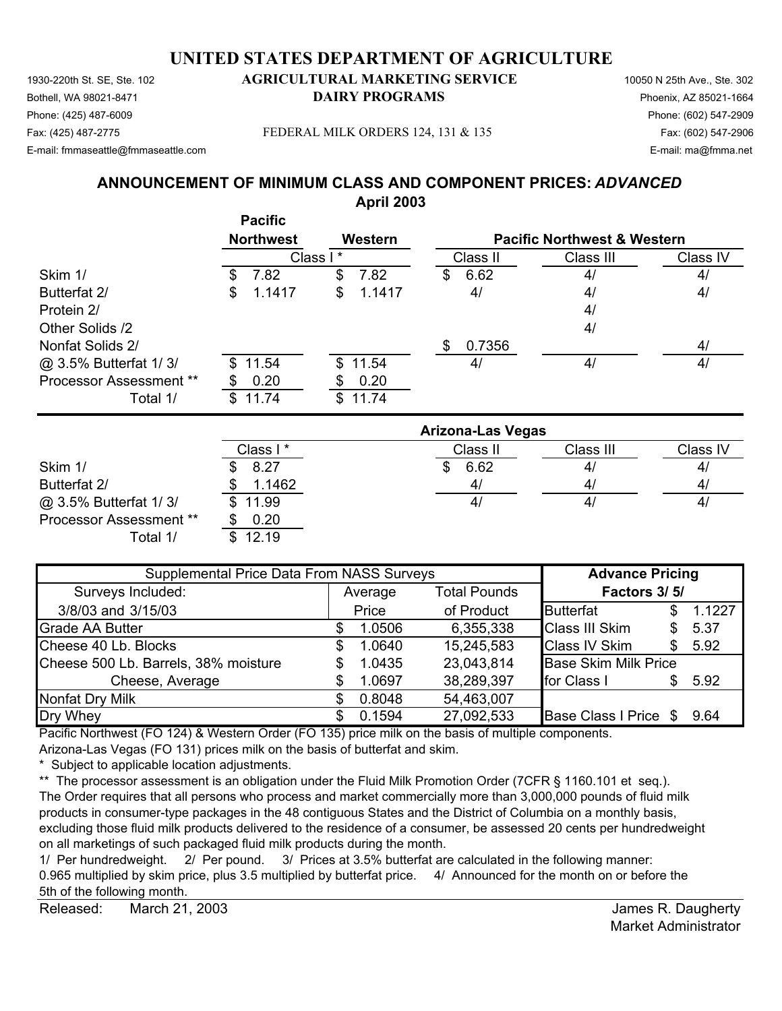1930-220th St. SE, Ste. 102 **AGRICULTURAL MARKETING SERVICE** 10050 N 25th Ave., Ste. 302 Bothell, WA 98021-8471 **DAIRY PROGRAMS** Phoenix, AZ 85021-1664 Phone: (425) 487-6009 Phone: (602) 547-2909 Fax: (425) 487-2775 Fax: (602) 547-2906 FEDERAL MILK ORDERS 124, 131 & 135

E-mail: fmmaseattle@fmmaseattle.com E-mail: ma@fmma.net

# **ANNOUNCEMENT OF MINIMUM CLASS AND COMPONENT PRICES:** *ADVANCED*

|                                |                                    | <b>April 2003</b> |                                        |           |          |  |
|--------------------------------|------------------------------------|-------------------|----------------------------------------|-----------|----------|--|
|                                | <b>Pacific</b><br><b>Northwest</b> | Western           | <b>Pacific Northwest &amp; Western</b> |           |          |  |
|                                |                                    | Class I*          | Class II                               | Class III | Class IV |  |
| Skim 1/                        | \$<br>7.82                         | \$<br>7.82        | 6.62<br>\$                             | 4/        | 4/       |  |
| Butterfat 2/                   | 1.1417<br>\$                       | 1.1417<br>\$      | 4/                                     | 4/        | 4/       |  |
| Protein 2/                     |                                    |                   |                                        | 4/        |          |  |
| Other Solids /2                |                                    |                   |                                        | 4/        |          |  |
| Nonfat Solids 2/               |                                    |                   | 0.7356<br>\$                           |           | 4/       |  |
| @ 3.5% Butterfat 1/3/          | 11.54<br>\$.                       | 11.54<br>\$       | 4/                                     | 4/        | 4/       |  |
| Processor Assessment **        | 0.20                               | 0.20              |                                        |           |          |  |
| Total 1/                       | 11.74<br>\$                        | \$11.74           |                                        |           |          |  |
|                                |                                    |                   | <b>Arizona-Las Vegas</b>               |           |          |  |
|                                | Class I*                           |                   | Class II                               | Class III | Class IV |  |
| Skim 1/                        | 8.27                               |                   | 6.62<br>\$                             | 4/        | 4/       |  |
| Butterfat 2/                   | 1.1462                             |                   | 4/                                     | 4/        | 4/       |  |
| @ 3.5% Butterfat 1/3/          | \$<br>11.99                        |                   | 4/                                     | 4/        | 4/       |  |
| <b>Processor Assessment **</b> | 0.20<br>\$                         |                   |                                        |           |          |  |

| Supplemental Price Data From NASS Surveys | <b>Advance Pricing</b> |         |                     |                             |     |        |
|-------------------------------------------|------------------------|---------|---------------------|-----------------------------|-----|--------|
| Surveys Included:                         |                        | Average | <b>Total Pounds</b> | Factors 3/5/                |     |        |
| 3/8/03 and 3/15/03                        |                        | Price   | of Product          | <b>Butterfat</b>            | S   | 1.1227 |
| <b>Grade AA Butter</b>                    |                        | 1.0506  | 6,355,338           | <b>Class III Skim</b>       | S   | 5.37   |
| Cheese 40 Lb. Blocks                      | S                      | 1.0640  | 15,245,583          | <b>Class IV Skim</b>        | \$. | 5.92   |
| Cheese 500 Lb. Barrels, 38% moisture      | S                      | 1.0435  | 23,043,814          | <b>Base Skim Milk Price</b> |     |        |
| Cheese, Average                           |                        | 1.0697  | 38,289,397          | for Class I                 | \$. | 5.92   |
| <b>Nonfat Dry Milk</b>                    |                        | 0.8048  | 54,463,007          |                             |     |        |
| Dry Whey                                  | S                      | 0.1594  | 27,092,533          | Base Class I Price \$       |     | 9.64   |

Pacific Northwest (FO 124) & Western Order (FO 135) price milk on the basis of multiple components.

Arizona-Las Vegas (FO 131) prices milk on the basis of butterfat and skim.

Total 1/ \$ 12.19

\* Subject to applicable location adjustments.

\*\* The processor assessment is an obligation under the Fluid Milk Promotion Order (7CFR § 1160.101 et seq.). The Order requires that all persons who process and market commercially more than 3,000,000 pounds of fluid milk products in consumer-type packages in the 48 contiguous States and the District of Columbia on a monthly basis, excluding those fluid milk products delivered to the residence of a consumer, be assessed 20 cents per hundredweight on all marketings of such packaged fluid milk products during the month.

1/ Per hundredweight. 2/ Per pound. 3/ Prices at 3.5% butterfat are calculated in the following manner: 0.965 multiplied by skim price, plus 3.5 multiplied by butterfat price. 4/ Announced for the month on or before the 5th of the following month.

Released: March 21, 2003 **Released:** March 21, 2003 March 21, 2003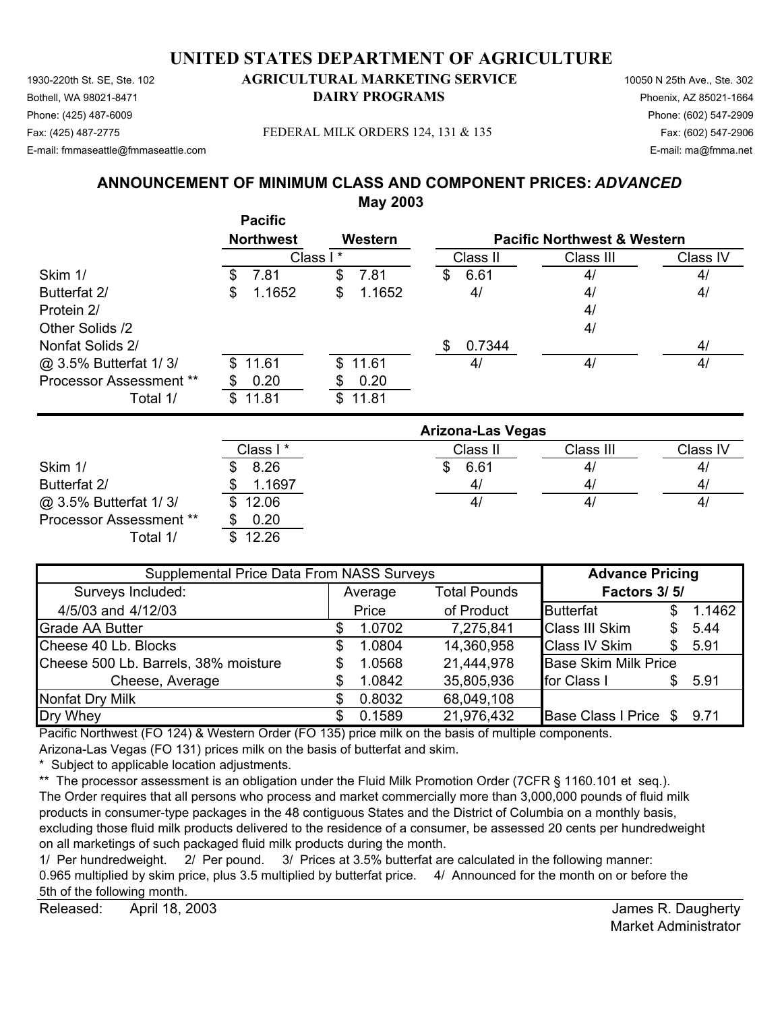1930-220th St. SE, Ste. 102 **AGRICULTURAL MARKETING SERVICE** 10050 N 25th Ave., Ste. 302 Bothell, WA 98021-8471 **DAIRY PROGRAMS** Phoenix, AZ 85021-1664 Fax: (425) 487-2775 Fax: (602) 547-2906 FEDERAL MILK ORDERS 124, 131 & 135

### Phone: (425) 487-6009 Phone: (602) 547-2909

E-mail: fmmaseattle@fmmaseattle.com E-mail: ma@fmma.net

#### **ANNOUNCEMENT OF MINIMUM CLASS AND COMPONENT PRICES:** *ADVANCED* **May 2003**

|                         | <b>Pacific</b><br><b>Northwest</b> | Western      |                          | <b>Pacific Northwest &amp; Western</b> |          |
|-------------------------|------------------------------------|--------------|--------------------------|----------------------------------------|----------|
|                         |                                    | Class I*     | Class II                 | Class III                              | Class IV |
| Skim 1/                 | 7.81<br>S.                         | 7.81<br>S    | 6.61<br>S                | 4/                                     | 4/       |
| Butterfat 2/            | 1.1652<br>\$                       | 1.1652<br>\$ | 4/                       | 4/                                     | 4/       |
| Protein 2/              |                                    |              |                          | 4/                                     |          |
| Other Solids /2         |                                    |              |                          | 4/                                     |          |
| Nonfat Solids 2/        |                                    |              | 0.7344<br>S              |                                        | 4/       |
| @ 3.5% Butterfat 1/3/   | 11.61<br>\$                        | 11.61<br>\$  | 4/                       | 4/                                     | 4/       |
| Processor Assessment ** | 0.20                               | 0.20<br>S    |                          |                                        |          |
| Total 1/                | 11.81<br>\$                        | 11.81<br>\$  |                          |                                        |          |
|                         |                                    |              | <b>Arizona-Las Vegas</b> |                                        |          |

|                                | Arizona-Las Vegas |          |                |                |  |
|--------------------------------|-------------------|----------|----------------|----------------|--|
|                                | Class I *         | Class II | Class III      | Class IV       |  |
| Skim 1/                        | 8.26              | 6.61     | 4 <sub>l</sub> | 4              |  |
| Butterfat 2/                   | 1.1697            | 4/       | 41             | 4              |  |
| @ 3.5% Butterfat 1/3/          | \$12.06           | 4        | 4 <sub>l</sub> | 4 <sub>l</sub> |  |
| <b>Processor Assessment **</b> | 0.20              |          |                |                |  |
| Total 1/                       | 12.26<br>S.       |          |                |                |  |

| Supplemental Price Data From NASS Surveys | <b>Advance Pricing</b>         |        |            |                             |              |        |  |
|-------------------------------------------|--------------------------------|--------|------------|-----------------------------|--------------|--------|--|
| Surveys Included:                         | <b>Total Pounds</b><br>Average |        |            |                             | Factors 3/5/ |        |  |
| 4/5/03 and 4/12/03                        | Price                          |        | of Product | Butterfat                   | S            | 1.1462 |  |
| <b>Grade AA Butter</b>                    |                                | 1.0702 | 7,275,841  | <b>Class III Skim</b>       | S            | 5.44   |  |
| Cheese 40 Lb. Blocks                      | S                              | 1.0804 | 14,360,958 | <b>Class IV Skim</b>        | S.           | 5.91   |  |
| Cheese 500 Lb. Barrels, 38% moisture      |                                | 1.0568 | 21,444,978 | <b>Base Skim Milk Price</b> |              |        |  |
| Cheese, Average                           |                                | 1.0842 | 35,805,936 | for Class I                 | S            | 5.91   |  |
| <b>Nonfat Dry Milk</b>                    |                                | 0.8032 | 68,049,108 |                             |              |        |  |
| Dry Whey                                  |                                | 0.1589 | 21,976,432 | Base Class I Price \$       |              | 9.71   |  |

Pacific Northwest (FO 124) & Western Order (FO 135) price milk on the basis of multiple components.

Arizona-Las Vegas (FO 131) prices milk on the basis of butterfat and skim.

\* Subject to applicable location adjustments.

\*\* The processor assessment is an obligation under the Fluid Milk Promotion Order (7CFR § 1160.101 et seq.). The Order requires that all persons who process and market commercially more than 3,000,000 pounds of fluid milk products in consumer-type packages in the 48 contiguous States and the District of Columbia on a monthly basis, excluding those fluid milk products delivered to the residence of a consumer, be assessed 20 cents per hundredweight on all marketings of such packaged fluid milk products during the month.

1/ Per hundredweight. 2/ Per pound. 3/ Prices at 3.5% butterfat are calculated in the following manner: 0.965 multiplied by skim price, plus 3.5 multiplied by butterfat price. 4/ Announced for the month on or before the 5th of the following month.

Released: April 18, 2003 **Released:** April 18, 2003 April 18, 2003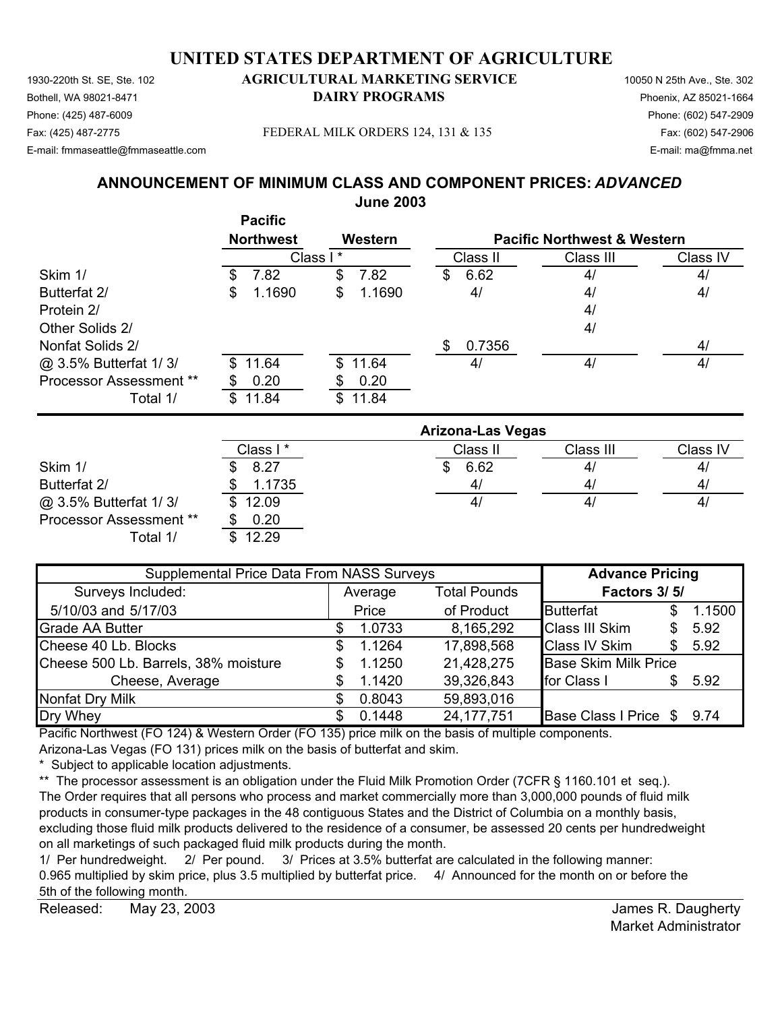1930-220th St. SE, Ste. 102 **AGRICULTURAL MARKETING SERVICE** 10050 N 25th Ave., Ste. 302 Bothell, WA 98021-8471 **DAIRY PROGRAMS** Phoenix, AZ 85021-1664 Phone: (425) 487-6009 Phone: (602) 547-2909 Fax: (425) 487-2775 Fax: (602) 547-2906 FEDERAL MILK ORDERS 124, 131 & 135 E-mail: fmmaseattle@fmmaseattle.com E-mail: ma@fmma.net

#### **ANNOUNCEMENT OF MINIMUM CLASS AND COMPONENT PRICES:** *ADVANCED* **June 2003**

|                                |     | <b>Pacific</b><br><b>Northwest</b> |          | Western |    |          | <b>Pacific Northwest &amp; Western</b> |          |
|--------------------------------|-----|------------------------------------|----------|---------|----|----------|----------------------------------------|----------|
|                                |     |                                    | Class I* |         |    | Class II | Class III                              | Class IV |
| Skim 1/                        | \$  | 7.82                               | \$       | 7.82    | \$ | 6.62     | 4/                                     | 4/       |
| Butterfat 2/                   | \$  | 1.1690                             | \$       | 1.1690  |    | 4/       | 4/                                     | 4/       |
| Protein 2/                     |     |                                    |          |         |    |          | 4/                                     |          |
| Other Solids 2/                |     |                                    |          |         |    |          | 4/                                     |          |
| Nonfat Solids 2/               |     |                                    |          |         | S  | 0.7356   |                                        | 4/       |
| @ 3.5% Butterfat 1/3/          | SS. | 11.64                              |          | \$11.64 |    | 4/       | 4/                                     | 4/       |
| <b>Processor Assessment **</b> |     | 0.20                               |          | 0.20    |    |          |                                        |          |
| Total 1/                       | \$. | 11.84                              | \$.      | 11.84   |    |          |                                        |          |
|                                |     |                                    |          |         |    |          |                                        |          |

|                                | <b>Arizona-Las Vegas</b> |          |                |              |  |  |  |
|--------------------------------|--------------------------|----------|----------------|--------------|--|--|--|
|                                | Class I *                | Class II | Class III      | Class IV     |  |  |  |
| Skim 1/                        | 8.27                     | 6.62     | 4 <sub>l</sub> | $\mathbf{4}$ |  |  |  |
| Butterfat 2/                   | 1.1735                   | 4/       | 4 <sub>l</sub> | 4            |  |  |  |
| @ 3.5% Butterfat 1/3/          | \$12.09                  | 4/       | 4 <sub>l</sub> | $\mathbf{4}$ |  |  |  |
| <b>Processor Assessment **</b> | 0.20                     |          |                |              |  |  |  |
| Total 1/                       | 12.29                    |          |                |              |  |  |  |

| Supplemental Price Data From NASS Surveys | <b>Advance Pricing</b>         |        |              |                             |              |        |  |
|-------------------------------------------|--------------------------------|--------|--------------|-----------------------------|--------------|--------|--|
| Surveys Included:                         | <b>Total Pounds</b><br>Average |        |              |                             | Factors 3/5/ |        |  |
| 5/10/03 and 5/17/03                       | Price                          |        | of Product   | Butterfat                   | S            | 1.1500 |  |
| <b>Grade AA Butter</b>                    |                                | 1.0733 | 8,165,292    | <b>Class III Skim</b>       | \$           | 5.92   |  |
| Cheese 40 Lb. Blocks                      | S                              | 1.1264 | 17,898,568   | <b>Class IV Skim</b>        | \$.          | 5.92   |  |
| Cheese 500 Lb. Barrels, 38% moisture      |                                | 1.1250 | 21,428,275   | <b>Base Skim Milk Price</b> |              |        |  |
| Cheese, Average                           |                                | 1.1420 | 39,326,843   | for Class I                 | S.           | 5.92   |  |
| <b>Nonfat Dry Milk</b>                    |                                | 0.8043 | 59,893,016   |                             |              |        |  |
| Dry Whey                                  |                                | 0.1448 | 24, 177, 751 | Base Class I Price \$ 9.74  |              |        |  |

Pacific Northwest (FO 124) & Western Order (FO 135) price milk on the basis of multiple components.

Arizona-Las Vegas (FO 131) prices milk on the basis of butterfat and skim.

\* Subject to applicable location adjustments.

\*\* The processor assessment is an obligation under the Fluid Milk Promotion Order (7CFR § 1160.101 et seq.). The Order requires that all persons who process and market commercially more than 3,000,000 pounds of fluid milk products in consumer-type packages in the 48 contiguous States and the District of Columbia on a monthly basis, excluding those fluid milk products delivered to the residence of a consumer, be assessed 20 cents per hundredweight on all marketings of such packaged fluid milk products during the month.

1/ Per hundredweight. 2/ Per pound. 3/ Prices at 3.5% butterfat are calculated in the following manner: 0.965 multiplied by skim price, plus 3.5 multiplied by butterfat price. 4/ Announced for the month on or before the 5th of the following month.

Released: May 23, 2003 **Released:** May 23, 2003 May 23, 2003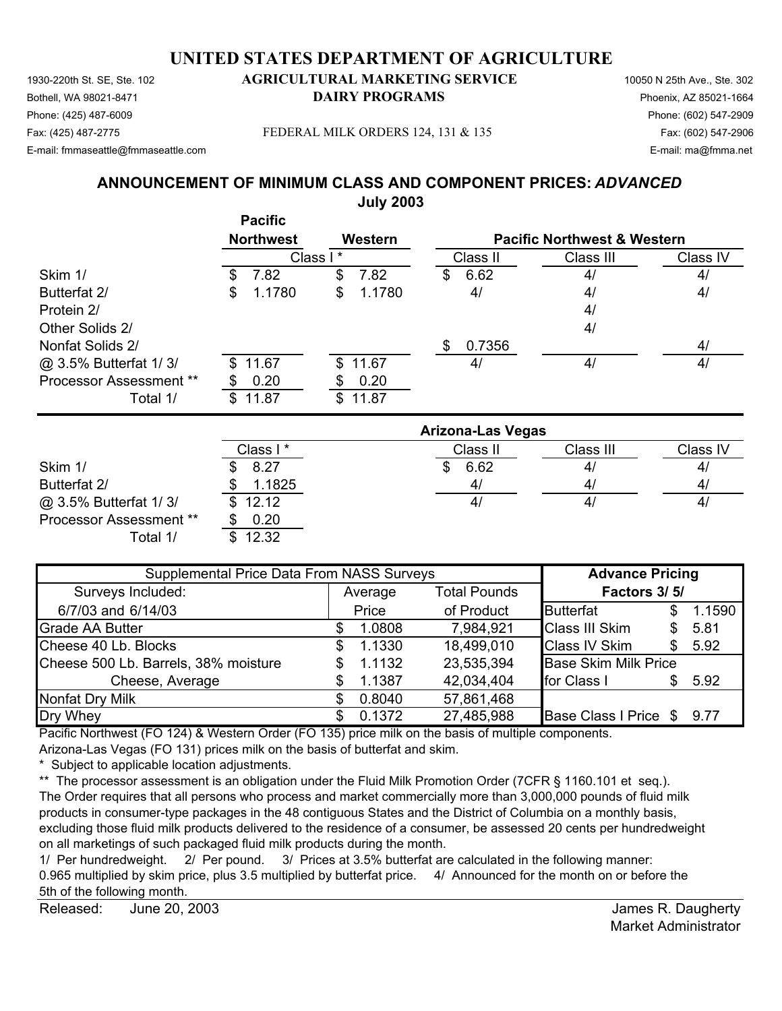1930-220th St. SE, Ste. 102 **AGRICULTURAL MARKETING SERVICE** 10050 N 25th Ave., Ste. 302 Bothell, WA 98021-8471 **DAIRY PROGRAMS** Phoenix, AZ 85021-1664 Fax: (425) 487-2775 Fax: (602) 547-2906 FEDERAL MILK ORDERS 124, 131 & 135

### Phone: (425) 487-6009 Phone: (602) 547-2909

### E-mail: fmmaseattle@fmmaseattle.com E-mail: ma@fmma.net

#### **ANNOUNCEMENT OF MINIMUM CLASS AND COMPONENT PRICES:** *ADVANCED* **July 2003**

|                                | <b>Pacific</b><br><b>Northwest</b> | Western      |                          | <b>Pacific Northwest &amp; Western</b> |          |
|--------------------------------|------------------------------------|--------------|--------------------------|----------------------------------------|----------|
|                                |                                    | Class I*     | Class II                 | Class III                              | Class IV |
| Skim 1/                        | 7.82<br>S                          | \$<br>7.82   | 6.62<br>\$               | 4/                                     | 4/       |
| Butterfat 2/                   | 1.1780<br>\$                       | 1.1780<br>\$ | 4/                       | 4/                                     | 4/       |
| Protein 2/                     |                                    |              |                          | 4/                                     |          |
| Other Solids 2/                |                                    |              |                          | 4/                                     |          |
| Nonfat Solids 2/               |                                    |              | 0.7356<br>\$             |                                        | 4/       |
| @ 3.5% Butterfat 1/3/          | 11.67<br>\$.                       | \$<br>11.67  | 4/                       | 4/                                     | 4/       |
| <b>Processor Assessment **</b> | 0.20                               | 0.20<br>S    |                          |                                        |          |
| Total 1/                       | 11.87<br>\$                        | 11.87<br>\$  |                          |                                        |          |
|                                |                                    |              | <b>Arizona-Las Vegas</b> |                                        |          |

|                         | Arizona-Las vegas |          |              |                |  |  |  |
|-------------------------|-------------------|----------|--------------|----------------|--|--|--|
|                         | Class I *         | Class II | Class III    | Class IV       |  |  |  |
| Skim 1/                 | 8.27              | 6.62     | 4            | 4 <sub>l</sub> |  |  |  |
| Butterfat 2/            | 1.1825            | 4/       | 4,           | $\mathbf{4}$   |  |  |  |
| @ 3.5% Butterfat 1/3/   | \$12.12           | 4/       | $\mathbf{4}$ | 4 <sub>l</sub> |  |  |  |
| Processor Assessment ** | 0.20              |          |              |                |  |  |  |
| Total 1/                | 12.32             |          |              |                |  |  |  |

| Supplemental Price Data From NASS Surveys | <b>Advance Pricing</b>         |        |            |                             |              |        |  |
|-------------------------------------------|--------------------------------|--------|------------|-----------------------------|--------------|--------|--|
| Surveys Included:                         | <b>Total Pounds</b><br>Average |        |            |                             | Factors 3/5/ |        |  |
| 6/7/03 and 6/14/03                        |                                | Price  | of Product | Butterfat                   | S            | 1.1590 |  |
| <b>Grade AA Butter</b>                    |                                | 1.0808 | 7,984,921  | <b>Class III Skim</b>       | \$           | 5.81   |  |
| Cheese 40 Lb. Blocks                      | \$.                            | 1.1330 | 18,499,010 | <b>Class IV Skim</b>        | \$.          | 5.92   |  |
| Cheese 500 Lb. Barrels, 38% moisture      |                                | 1.1132 | 23,535,394 | <b>Base Skim Milk Price</b> |              |        |  |
| Cheese, Average                           |                                | 1.1387 | 42,034,404 | for Class I                 | \$.          | 5.92   |  |
| Nonfat Dry Milk                           |                                | 0.8040 | 57,861,468 |                             |              |        |  |
| Dry Whey                                  |                                | 0.1372 | 27,485,988 | Base Class I Price \$       |              | 9.77   |  |

Pacific Northwest (FO 124) & Western Order (FO 135) price milk on the basis of multiple components.

Arizona-Las Vegas (FO 131) prices milk on the basis of butterfat and skim.

\* Subject to applicable location adjustments.

\*\* The processor assessment is an obligation under the Fluid Milk Promotion Order (7CFR § 1160.101 et seq.). The Order requires that all persons who process and market commercially more than 3,000,000 pounds of fluid milk products in consumer-type packages in the 48 contiguous States and the District of Columbia on a monthly basis, excluding those fluid milk products delivered to the residence of a consumer, be assessed 20 cents per hundredweight on all marketings of such packaged fluid milk products during the month.

1/ Per hundredweight. 2/ Per pound. 3/ Prices at 3.5% butterfat are calculated in the following manner: 0.965 multiplied by skim price, plus 3.5 multiplied by butterfat price. 4/ Announced for the month on or before the 5th of the following month.

Released: James R. Daugherty June 20, 2003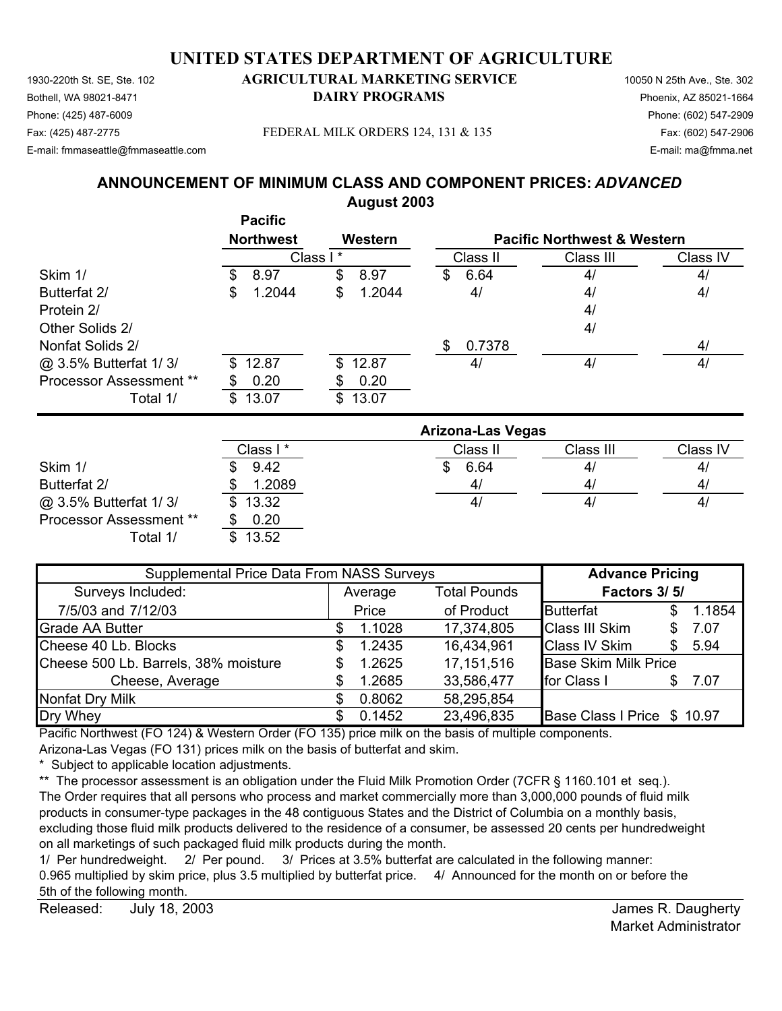1930-220th St. SE, Ste. 102 **AGRICULTURAL MARKETING SERVICE** 10050 N 25th Ave., Ste. 302 Bothell, WA 98021-8471 **DAIRY PROGRAMS** Phoenix, AZ 85021-1664 Phone: (425) 487-6009 Phone: (602) 547-2909 Fax: (425) 487-2775 Fax: (602) 547-2906 FEDERAL MILK ORDERS 124, 131 & 135

E-mail: fmmaseattle@fmmaseattle.com E-mail: ma@fmma.net

# **ANNOUNCEMENT OF MINIMUM CLASS AND COMPONENT PRICES:** *ADVANCED* **August 2003**

|                                |                                    | August Evvv  |                          |                                        |                |
|--------------------------------|------------------------------------|--------------|--------------------------|----------------------------------------|----------------|
|                                | <b>Pacific</b><br><b>Northwest</b> | Western      |                          | <b>Pacific Northwest &amp; Western</b> |                |
|                                |                                    | Class I*     | Class II                 | Class III                              | Class IV       |
| Skim 1/                        | 8.97<br>\$                         | \$<br>8.97   | 6.64<br>\$               | 4/                                     | 4/             |
| Butterfat 2/                   | 1.2044<br>\$                       | 1.2044<br>\$ | 4/                       | 4/                                     | 4/             |
| Protein 2/                     |                                    |              |                          | 4/                                     |                |
| Other Solids 2/                |                                    |              |                          | 4/                                     |                |
| Nonfat Solids 2/               |                                    |              | 0.7378<br>\$             |                                        | 4/             |
| @ 3.5% Butterfat 1/3/          | 12.87<br>\$.                       | 12.87<br>\$. | 4/                       | 4/                                     | 4/             |
| <b>Processor Assessment **</b> | 0.20                               | 0.20<br>\$   |                          |                                        |                |
| Total 1/                       | 13.07<br>\$.                       | 13.07<br>\$  |                          |                                        |                |
|                                |                                    |              | <b>Arizona-Las Vegas</b> |                                        |                |
|                                | Class I*                           |              | Class II                 | Class III                              | Class IV       |
| Skim 1/                        | 9.42                               |              | 6.64<br>\$               | 4/                                     | 4/             |
| $D.44 - 101$                   | e nana                             |              | $\overline{A}$           | $\overline{ }$                         | $\overline{ }$ |

 $\omega$  3.5% Butterfat 1/ 3/ \$ 13.32 Processor Assessment \*\* \$ 0.20 Total 1/ \$ 13.52

|                                | Class I * | Class II     | Class III | Class |
|--------------------------------|-----------|--------------|-----------|-------|
| Skim 1/                        | 9.42      | 6.64         | 4/        | 4/    |
| Butterfat 2/                   | 1.2089    | $\mathbf{4}$ | 4/        | 4/    |
| @ 3.5% Butterfat 1/3/          | \$13.32   | 4            | 4/        | 4/    |
| <b>Processor Assessment **</b> | 0.20      |              |           |       |
| /1 ادtoT                       | \$1352    |              |           |       |

| Supplemental Price Data From NASS Surveys | <b>Advance Pricing</b>         |        |              |                             |              |        |  |
|-------------------------------------------|--------------------------------|--------|--------------|-----------------------------|--------------|--------|--|
| Surveys Included:                         | <b>Total Pounds</b><br>Average |        |              |                             | Factors 3/5/ |        |  |
| 7/5/03 and 7/12/03                        |                                | Price  | of Product   | Butterfat                   | S            | 1.1854 |  |
| <b>Grade AA Butter</b>                    |                                | 1.1028 | 17,374,805   | <b>Class III Skim</b>       | S            | 7.07   |  |
| Cheese 40 Lb. Blocks                      |                                | 1.2435 | 16,434,961   | <b>Class IV Skim</b>        | \$.          | 5.94   |  |
| Cheese 500 Lb. Barrels, 38% moisture      |                                | 1.2625 | 17, 151, 516 | <b>Base Skim Milk Price</b> |              |        |  |
| Cheese, Average                           |                                | 1.2685 | 33,586,477   | for Class I                 | S            | 7.07   |  |
| <b>Nonfat Dry Milk</b>                    |                                | 0.8062 | 58,295,854   |                             |              |        |  |
| Dry Whey                                  |                                | 0.1452 | 23,496,835   | Base Class I Price \$ 10.97 |              |        |  |

Pacific Northwest (FO 124) & Western Order (FO 135) price milk on the basis of multiple components.

Arizona-Las Vegas (FO 131) prices milk on the basis of butterfat and skim.

\* Subject to applicable location adjustments.

\*\* The processor assessment is an obligation under the Fluid Milk Promotion Order (7CFR § 1160.101 et seq.). The Order requires that all persons who process and market commercially more than 3,000,000 pounds of fluid milk products in consumer-type packages in the 48 contiguous States and the District of Columbia on a monthly basis, excluding those fluid milk products delivered to the residence of a consumer, be assessed 20 cents per hundredweight on all marketings of such packaged fluid milk products during the month.

1/ Per hundredweight. 2/ Per pound. 3/ Prices at 3.5% butterfat are calculated in the following manner: 0.965 multiplied by skim price, plus 3.5 multiplied by butterfat price. 4/ Announced for the month on or before the 5th of the following month.

Released: July 18, 2003 **Released:** July 18, 2003 July 18, 2003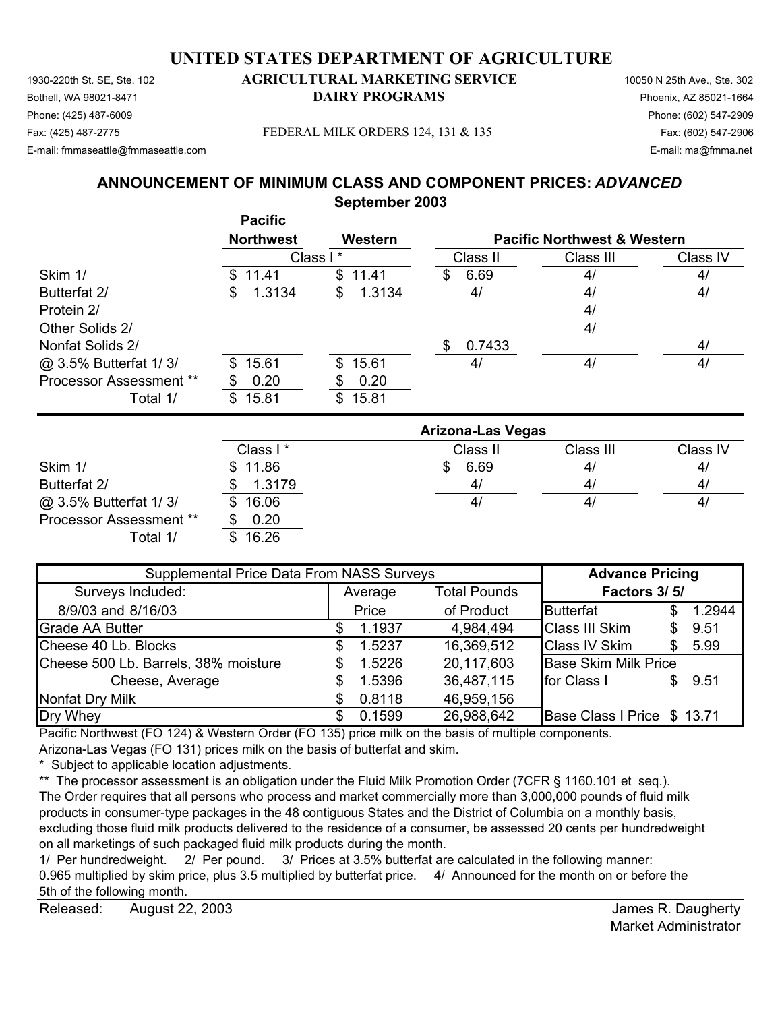#### 1930-220th St. SE, Ste. 102 **AGRICULTURAL MARKETING SERVICE** 10050 N 25th Ave., Ste. 302 **UNITED STATES DEPARTMENT OF AGRICULTURE**

Bothell, WA 98021-8471 **DAIRY PROGRAMS** Phoenix, AZ 85021-1664 Phone: (425) 487-6009 Phone: (602) 547-2909 E-mail: fmmaseattle@fmmaseattle.com E-mail: ma@fmma.net

#### Fax: (425) 487-2775 Fax: (602) 547-2906 FEDERAL MILK ORDERS 124, 131 & 135

**ANNOUNCEMENT OF MINIMUM CLASS AND COMPONENT PRICES:** *ADVANCED*

**September 2003**

|                                | <b>Pacific</b><br><b>Northwest</b> | Western      |           | <b>Pacific Northwest &amp; Western</b> |          |
|--------------------------------|------------------------------------|--------------|-----------|----------------------------------------|----------|
|                                |                                    | Class I*     | Class II  | Class III                              | Class IV |
| Skim 1/                        | \$11.41                            | \$11.41      | 6.69<br>S | 4/                                     | 4/       |
| Butterfat 2/                   | 1.3134<br>\$                       | 1.3134<br>\$ | 4/        | 4/                                     | 4/       |
| Protein 2/                     |                                    |              |           | 4/                                     |          |
| Other Solids 2/                |                                    |              |           | 4/                                     |          |
| Nonfat Solids 2/               |                                    |              | 0.7433    |                                        | 4/       |
| @ 3.5% Butterfat 1/3/          | \$15.61                            | \$15.61      | 4/        | 4/                                     | 4/       |
| <b>Processor Assessment **</b> | 0.20                               | 0.20         |           |                                        |          |
| Total 1/                       | 15.81<br>\$                        | \$15.81      |           |                                        |          |

|                         | <b>Arizona-Las Vegas</b> |          |           |          |  |  |
|-------------------------|--------------------------|----------|-----------|----------|--|--|
|                         | Class I*                 | Class II | Class III | Class IV |  |  |
| Skim 1/                 | \$11.86                  | 6.69     | 41        | 4/       |  |  |
| Butterfat 2/            | 1.3179                   | 4/       | 4/        | 4/       |  |  |
| @ 3.5% Butterfat 1/3/   | 16.06<br>SS.             | 4/       | 41        | 4/       |  |  |
| Processor Assessment ** | 0.20                     |          |           |          |  |  |
| Total 1/                | 16.26                    |          |           |          |  |  |

| Supplemental Price Data From NASS Surveys | <b>Advance Pricing</b>         |        |              |                             |    |        |
|-------------------------------------------|--------------------------------|--------|--------------|-----------------------------|----|--------|
| Surveys Included:                         | <b>Total Pounds</b><br>Average |        | Factors 3/5/ |                             |    |        |
| 8/9/03 and 8/16/03                        | Price                          |        | of Product   | Butterfat                   |    | 1.2944 |
| <b>Grade AA Butter</b>                    |                                | 1.1937 | 4,984,494    | <b>Class III Skim</b>       | \$ | 9.51   |
| Cheese 40 Lb. Blocks                      |                                | 1.5237 | 16,369,512   | <b>Class IV Skim</b>        | S  | 5.99   |
| Cheese 500 Lb. Barrels, 38% moisture      |                                | 1.5226 | 20,117,603   | <b>Base Skim Milk Price</b> |    |        |
| Cheese, Average                           |                                | 1.5396 | 36,487,115   | for Class I                 | \$ | 9.51   |
| <b>Nonfat Dry Milk</b>                    |                                | 0.8118 | 46,959,156   |                             |    |        |
| Dry Whey                                  |                                | 0.1599 | 26,988,642   | Base Class I Price \$ 13.71 |    |        |

Pacific Northwest (FO 124) & Western Order (FO 135) price milk on the basis of multiple components.

Arizona-Las Vegas (FO 131) prices milk on the basis of butterfat and skim.

\* Subject to applicable location adjustments.

\*\* The processor assessment is an obligation under the Fluid Milk Promotion Order (7CFR § 1160.101 et seq.). The Order requires that all persons who process and market commercially more than 3,000,000 pounds of fluid milk products in consumer-type packages in the 48 contiguous States and the District of Columbia on a monthly basis, excluding those fluid milk products delivered to the residence of a consumer, be assessed 20 cents per hundredweight on all marketings of such packaged fluid milk products during the month.

1/ Per hundredweight. 2/ Per pound. 3/ Prices at 3.5% butterfat are calculated in the following manner: 0.965 multiplied by skim price, plus 3.5 multiplied by butterfat price. 4/ Announced for the month on or before the 5th of the following month.

Released: August 22, 2003 **Released:** August 22, 2003 August 22, 2003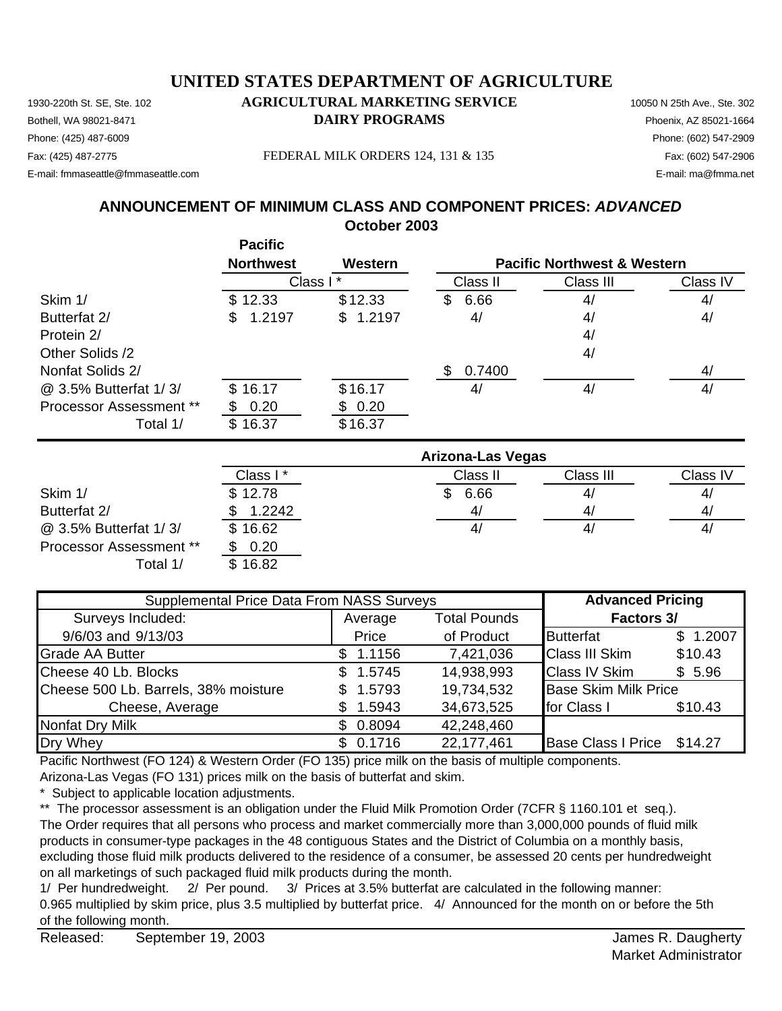#### 1930-220th St. SE, Ste. 102 **AGRICULTURAL MARKETING SERVICE** 10050 N 25th Ave., Ste. 302 Bothell, WA 98021-8471 **DAIRY PROGRAMS** Phoenix, AZ 85021-1664 Phone: (425) 487-6009 Phone: (602) 547-2909 **UNITED STATES DEPARTMENT OF AGRICULTURE**

E-mail: fmmaseattle@fmmaseattle.com E-mail: ma@fmma.net

**October 2003 ANNOUNCEMENT OF MINIMUM CLASS AND COMPONENT PRICES:** *ADVANCED*

**Pacific Northwest Western** Class II Class III Class IV Skim 1/ \$ 12.33 \$ 12.33 \$ 6.66 4/ 4/ Butterfat 2/ **\$** 1.2197 **\$** 1.2197 4/ 4/ 4/ Protein 2/ and 2008 and 2008 and 2008 and 2008 and 2008 and 2008 and 2008 and 2008 and 2008 and 2008 and 2008 and 2008 and 2008 and 2008 and 2008 and 2008 and 2008 and 2008 and 2008 and 2008 and 2008 and 2008 and 2008 and Other Solids /2 4/ Nonfat Solids 2/  $$ 0.7400$ @ 3.5% Butterfat 1/ 3/ \$ 16.17 \$ 16.17 4/ 4/ 4/ Processor Assessment \*\*  $$ 0.20$   $$ 0.20$ Total 1/ \$ 16.37 \$ 16.37 **Pacific Northwest & Western** Class I \*

|                                | <b>Arizona-Las Vegas</b> |             |           |              |  |  |
|--------------------------------|--------------------------|-------------|-----------|--------------|--|--|
|                                | Class I*                 | Class II    | Class III | Class IV     |  |  |
| Skim 1/                        | \$12.78                  | 6.66<br>\$. | 4/        | 4/           |  |  |
| Butterfat 2/                   | 1.2242                   | 4/          | 4/        | 4/           |  |  |
| @ 3.5% Butterfat 1/3/          | \$16.62                  | 41          | 4/        | $\mathbf{4}$ |  |  |
| <b>Processor Assessment **</b> | 0.20                     |             |           |              |  |  |
| Total 1/                       | \$16.82                  |             |           |              |  |  |

| Supplemental Price Data From NASS Surveys | <b>Advanced Pricing</b> |                     |                             |          |
|-------------------------------------------|-------------------------|---------------------|-----------------------------|----------|
| Surveys Included:                         | Average                 | <b>Total Pounds</b> | Factors 3/                  |          |
| 9/6/03 and 9/13/03                        | Price                   | of Product          | <b>Butterfat</b>            | \$1.2007 |
| <b>Grade AA Butter</b>                    | \$1.1156                | 7,421,036           | <b>Class III Skim</b>       | \$10.43  |
| Cheese 40 Lb. Blocks                      | \$1.5745                | 14,938,993          | <b>Class IV Skim</b>        | \$5.96   |
| Cheese 500 Lb. Barrels, 38% moisture      | \$1.5793                | 19,734,532          | <b>Base Skim Milk Price</b> |          |
| Cheese, Average                           | 1.5943                  | 34,673,525          | for Class I                 | \$10.43  |
| Nonfat Dry Milk                           | \$0.8094                | 42,248,460          |                             |          |
| Dry Whey                                  | \$0.1716                | 22,177,461          | Base Class I Price \$14.27  |          |

Pacific Northwest (FO 124) & Western Order (FO 135) price milk on the basis of multiple components.

Arizona-Las Vegas (FO 131) prices milk on the basis of butterfat and skim.

Subject to applicable location adjustments.

\*\* The processor assessment is an obligation under the Fluid Milk Promotion Order (7CFR § 1160.101 et seq.).

The Order requires that all persons who process and market commercially more than 3,000,000 pounds of fluid milk products in consumer-type packages in the 48 contiguous States and the District of Columbia on a monthly basis, excluding those fluid milk products delivered to the residence of a consumer, be assessed 20 cents per hundredweight on all marketings of such packaged fluid milk products during the month.

1/ Per hundredweight. 2/ Per pound. 3/ Prices at 3.5% butterfat are calculated in the following manner: 0.965 multiplied by skim price, plus 3.5 multiplied by butterfat price. 4/ Announced for the month on or before the 5th of the following month.

Fax: (425) 487-2775 FEDERAL MILK ORDERS 124, 131 & 135 Fax: (602) 547-2906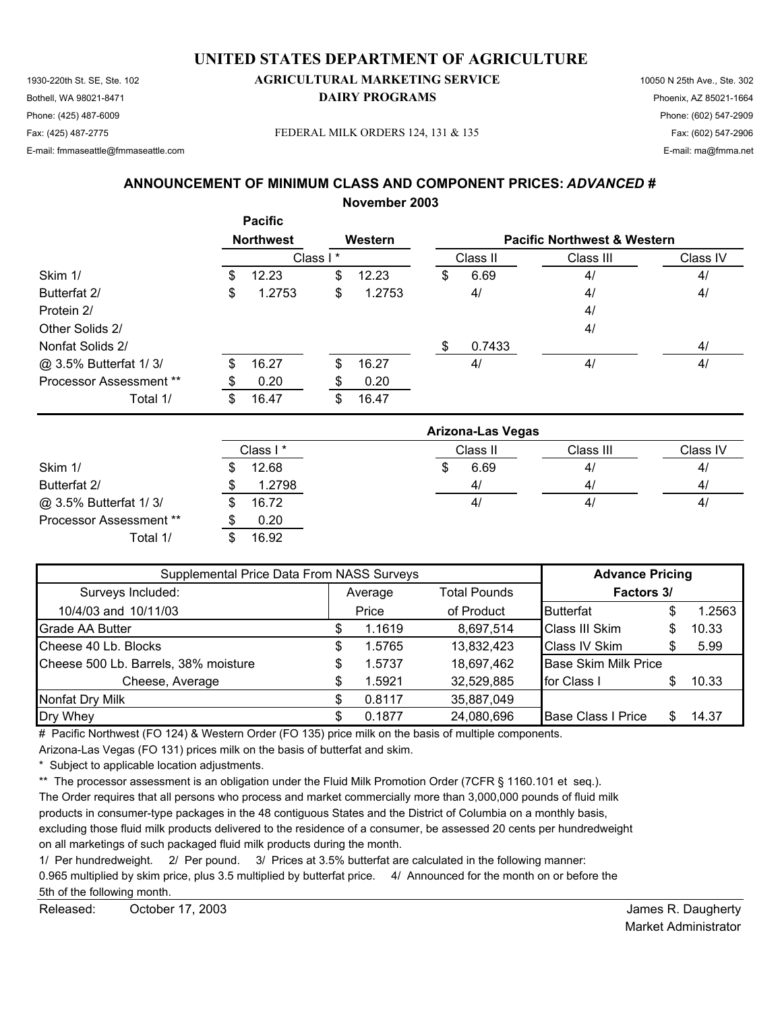1930-220th St. SE, Ste. 102 **AGRICULTURAL MARKETING SERVICE** 10050 N 25th Ave., Ste. 302 Bothell, WA 98021-8471 **DAIRY PROGRAMS** Phoenix, AZ 85021-1664 Phone: (425) 487-6009 Phone: (602) 547-2909 Fax: (425) 487-2775 Fax: (602) 547-2906 FEDERAL MILK ORDERS 124, 131 & 135

E-mail: fmmaseattle@fmmaseattle.com E-mail: ma@fmma.net

### **ANNOUNCEMENT OF MINIMUM CLASS AND COMPONENT PRICES:** *ADVANCED #*

**November 2003**

**Pacific**

|                                |    | <b>Faulllu</b>   |          |         |     |          |                                        |          |
|--------------------------------|----|------------------|----------|---------|-----|----------|----------------------------------------|----------|
|                                |    | <b>Northwest</b> |          | Western |     |          | <b>Pacific Northwest &amp; Western</b> |          |
|                                |    |                  | Class I* |         |     | Class II | Class III                              | Class IV |
| Skim 1/                        | \$ | 12.23            | \$       | 12.23   | \$  | 6.69     | 4/                                     | 4/       |
| Butterfat 2/                   | \$ | 1.2753           | \$       | 1.2753  |     | 4/       | 4/                                     | 4/       |
| Protein 2/                     |    |                  |          |         |     |          | 4/                                     |          |
| Other Solids 2/                |    |                  |          |         |     |          | 4/                                     |          |
| Nonfat Solids 2/               |    |                  |          |         | \$. | 0.7433   |                                        | 4/       |
| @ 3.5% Butterfat 1/3/          | \$ | 16.27            | \$       | 16.27   |     | 4/       | 4/                                     | 4/       |
| <b>Processor Assessment **</b> | S  | 0.20             |          | 0.20    |     |          |                                        |          |
| Total 1/                       | \$ | 16.47            | \$       | 16.47   |     |          |                                        |          |

|                                | <b>Arizona-Las Vegas</b> |  |          |           |          |  |  |  |  |
|--------------------------------|--------------------------|--|----------|-----------|----------|--|--|--|--|
|                                | Class I*                 |  | Class II | Class III | Class IV |  |  |  |  |
| Skim 1/                        | 12.68                    |  | 6.69     | 4/        | 4/       |  |  |  |  |
| Butterfat 2/                   | 1.2798                   |  | 4/       | 4/        | 4/       |  |  |  |  |
| @ 3.5% Butterfat 1/3/          | \$<br>16.72              |  | 4/       | 4/        | 4/       |  |  |  |  |
| <b>Processor Assessment **</b> | 0.20                     |  |          |           |          |  |  |  |  |
| Total 1/                       | 16.92                    |  |          |           |          |  |  |  |  |

| Supplemental Price Data From NASS Surveys | <b>Advance Pricing</b> |         |                     |                             |  |        |
|-------------------------------------------|------------------------|---------|---------------------|-----------------------------|--|--------|
| Surveys Included:                         |                        | Average | <b>Total Pounds</b> | Factors 3/                  |  |        |
| 10/4/03 and 10/11/03                      | Price                  |         | of Product          | <b>Butterfat</b>            |  | 1.2563 |
| Grade AA Butter                           |                        | 1.1619  | 8,697,514           | Class III Skim              |  | 10.33  |
| Cheese 40 Lb. Blocks                      | \$                     | 1.5765  | 13,832,423          | <b>Class IV Skim</b>        |  | 5.99   |
| Cheese 500 Lb. Barrels, 38% moisture      | \$                     | 1.5737  | 18,697,462          | <b>Base Skim Milk Price</b> |  |        |
| Cheese, Average                           |                        | 1.5921  | 32,529,885          | <b>I</b> for Class I        |  | 10.33  |
| Nonfat Dry Milk                           |                        | 0.8117  | 35,887,049          |                             |  |        |
| Dry Whey                                  |                        | 0.1877  | 24,080,696          | <b>Base Class I Price</b>   |  | 14.37  |

# Pacific Northwest (FO 124) & Western Order (FO 135) price milk on the basis of multiple components.

Arizona-Las Vegas (FO 131) prices milk on the basis of butterfat and skim.

\* Subject to applicable location adjustments.

\*\* The processor assessment is an obligation under the Fluid Milk Promotion Order (7CFR § 1160.101 et seq.).

The Order requires that all persons who process and market commercially more than 3,000,000 pounds of fluid milk

products in consumer-type packages in the 48 contiguous States and the District of Columbia on a monthly basis,

excluding those fluid milk products delivered to the residence of a consumer, be assessed 20 cents per hundredweight on all marketings of such packaged fluid milk products during the month.

1/ Per hundredweight. 2/ Per pound. 3/ Prices at 3.5% butterfat are calculated in the following manner:

0.965 multiplied by skim price, plus 3.5 multiplied by butterfat price. 4/ Announced for the month on or before the

5th of the following month.

Released: October 17, 2003 Contact Contact Contact Contact Contact Contact Contact Contact Contact Contact Contact Contact Contact Contact Contact Contact Contact Contact Contact Contact Contact Contact Contact Contact Con October 17, 2003